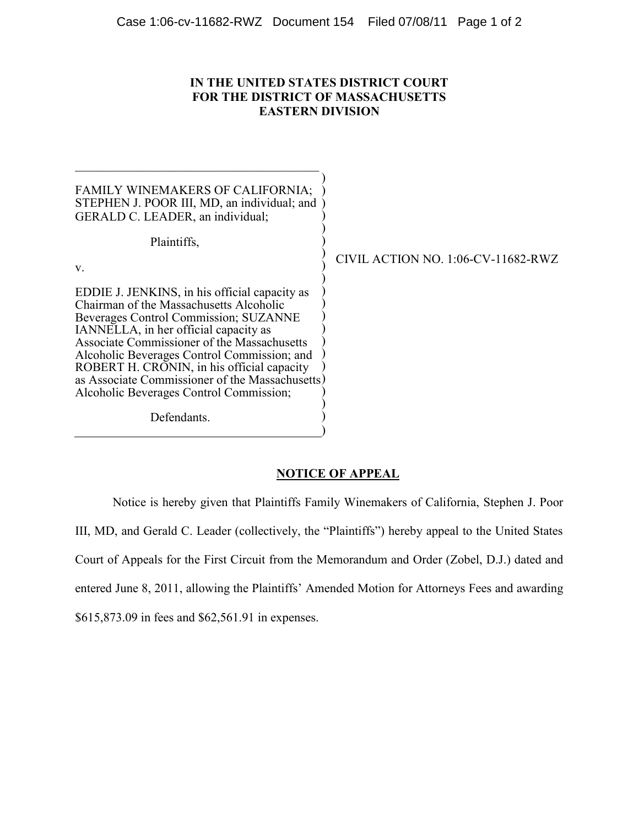## **IN THE UNITED STATES DISTRICT COURT FOR THE DISTRICT OF MASSACHUSETTS EASTERN DIVISION**

| FAMILY WINEMAKERS OF CALIFORNIA;<br>STEPHEN J. POOR III, MD, an individual; and<br>GERALD C. LEADER, an individual;                                                                                                                                                                                                                                                                                                  |                                    |
|----------------------------------------------------------------------------------------------------------------------------------------------------------------------------------------------------------------------------------------------------------------------------------------------------------------------------------------------------------------------------------------------------------------------|------------------------------------|
| Plaintiffs,                                                                                                                                                                                                                                                                                                                                                                                                          |                                    |
| $V_{-}$                                                                                                                                                                                                                                                                                                                                                                                                              | CIVIL ACTION NO. 1:06-CV-11682-RWZ |
| EDDIE J. JENKINS, in his official capacity as<br>Chairman of the Massachusetts Alcoholic<br>Beverages Control Commission; SUZANNE<br>IANNELLA, in her official capacity as<br>Associate Commissioner of the Massachusetts<br>Alcoholic Beverages Control Commission; and<br>ROBERT H. CRONIN, in his official capacity<br>as Associate Commissioner of the Massachusetts)<br>Alcoholic Beverages Control Commission; |                                    |
| Defendants.                                                                                                                                                                                                                                                                                                                                                                                                          |                                    |

## **NOTICE OF APPEAL**

 $\lambda$ 

Notice is hereby given that Plaintiffs Family Winemakers of California, Stephen J. Poor III, MD, and Gerald C. Leader (collectively, the "Plaintiffs") hereby appeal to the United States Court of Appeals for the First Circuit from the Memorandum and Order (Zobel, D.J.) dated and entered June 8, 2011, allowing the Plaintiffs' Amended Motion for Attorneys Fees and awarding \$615,873.09 in fees and \$62,561.91 in expenses.